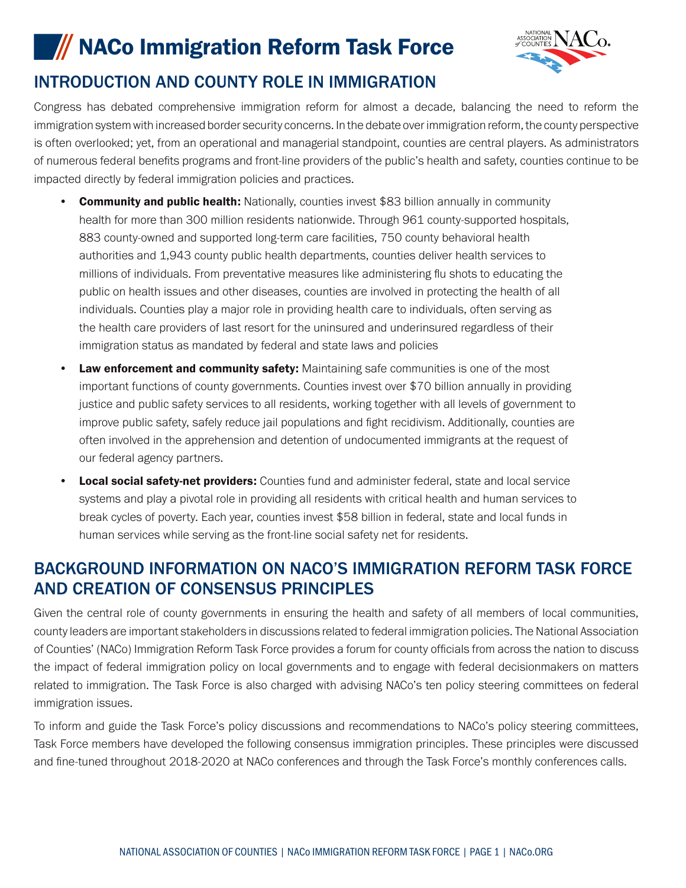# **IMACO Immigration Reform Task Force**



## INTRODUCTION AND COUNTY ROLE IN IMMIGRATION

Congress has debated comprehensive immigration reform for almost a decade, balancing the need to reform the immigration system with increased border security concerns. In the debate over immigration reform, the county perspective is often overlooked; yet, from an operational and managerial standpoint, counties are central players. As administrators of numerous federal benefits programs and front-line providers of the public's health and safety, counties continue to be impacted directly by federal immigration policies and practices.

- **Community and public health:** Nationally, counties invest \$83 billion annually in community health for more than 300 million residents nationwide. Through 961 county-supported hospitals, 883 county-owned and supported long-term care facilities, 750 county behavioral health authorities and 1,943 county public health departments, counties deliver health services to millions of individuals. From preventative measures like administering flu shots to educating the public on health issues and other diseases, counties are involved in protecting the health of all individuals. Counties play a major role in providing health care to individuals, often serving as the health care providers of last resort for the uninsured and underinsured regardless of their immigration status as mandated by federal and state laws and policies
- **Law enforcement and community safety:** Maintaining safe communities is one of the most important functions of county governments. Counties invest over \$70 billion annually in providing justice and public safety services to all residents, working together with all levels of government to improve public safety, safely reduce jail populations and fight recidivism. Additionally, counties are often involved in the apprehension and detention of undocumented immigrants at the request of our federal agency partners.
- **Local social safety-net providers:** Counties fund and administer federal, state and local service systems and play a pivotal role in providing all residents with critical health and human services to break cycles of poverty. Each year, counties invest \$58 billion in federal, state and local funds in human services while serving as the front-line social safety net for residents.

## BACKGROUND INFORMATION ON NACO'S IMMIGRATION REFORM TASK FORCE AND CREATION OF CONSENSUS PRINCIPLES

Given the central role of county governments in ensuring the health and safety of all members of local communities, county leaders are important stakeholders in discussions related to federal immigration policies. The National Association of Counties' (NACo) Immigration Reform Task Force provides a forum for county officials from across the nation to discuss the impact of federal immigration policy on local governments and to engage with federal decisionmakers on matters related to immigration. The Task Force is also charged with advising NACo's ten policy steering committees on federal immigration issues.

To inform and guide the Task Force's policy discussions and recommendations to NACo's policy steering committees, Task Force members have developed the following consensus immigration principles. These principles were discussed and fine-tuned throughout 2018-2020 at NACo conferences and through the Task Force's monthly conferences calls.